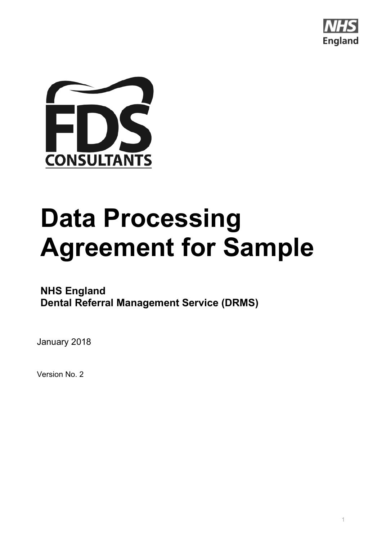



# **Data Processing Agreement for Sample**

### **NHS England Dental Referral Management Service (DRMS)**

January 2018

Version No. 2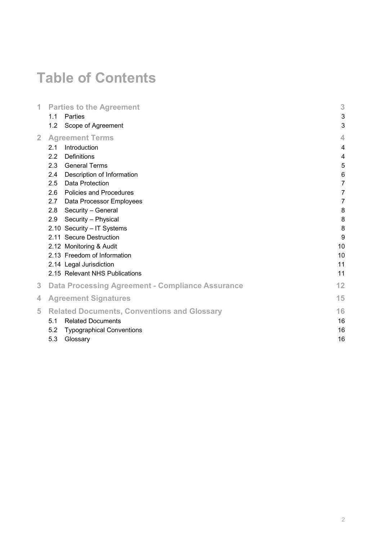# **Table of Contents**

|                                                         | 3                                                                                                                                                                                                                                                                                                                                     |
|---------------------------------------------------------|---------------------------------------------------------------------------------------------------------------------------------------------------------------------------------------------------------------------------------------------------------------------------------------------------------------------------------------|
| <b>Parties</b><br>1.1                                   | 3                                                                                                                                                                                                                                                                                                                                     |
| 1.2<br>Scope of Agreement                               | 3                                                                                                                                                                                                                                                                                                                                     |
| <b>Agreement Terms</b>                                  | 4                                                                                                                                                                                                                                                                                                                                     |
| Introduction<br>2.1                                     | $\overline{4}$                                                                                                                                                                                                                                                                                                                        |
| 2.2<br><b>Definitions</b>                               | 4                                                                                                                                                                                                                                                                                                                                     |
| 2.3<br><b>General Terms</b>                             | 5                                                                                                                                                                                                                                                                                                                                     |
| Description of Information<br>2.4                       | 6                                                                                                                                                                                                                                                                                                                                     |
| 2.5<br>Data Protection                                  | $\overline{7}$                                                                                                                                                                                                                                                                                                                        |
| 2.6<br><b>Policies and Procedures</b>                   | 7                                                                                                                                                                                                                                                                                                                                     |
| 2.7<br>Data Processor Employees                         | 7                                                                                                                                                                                                                                                                                                                                     |
| 2.8<br>Security - General                               | 8                                                                                                                                                                                                                                                                                                                                     |
| Security - Physical<br>2.9                              | 8                                                                                                                                                                                                                                                                                                                                     |
|                                                         | 8                                                                                                                                                                                                                                                                                                                                     |
|                                                         | 9                                                                                                                                                                                                                                                                                                                                     |
|                                                         | 10                                                                                                                                                                                                                                                                                                                                    |
|                                                         | 10                                                                                                                                                                                                                                                                                                                                    |
|                                                         | 11                                                                                                                                                                                                                                                                                                                                    |
|                                                         | 11                                                                                                                                                                                                                                                                                                                                    |
| <b>Data Processing Agreement - Compliance Assurance</b> | 12                                                                                                                                                                                                                                                                                                                                    |
| <b>Agreement Signatures</b>                             | 15                                                                                                                                                                                                                                                                                                                                    |
|                                                         | 16                                                                                                                                                                                                                                                                                                                                    |
| 5.1                                                     | 16                                                                                                                                                                                                                                                                                                                                    |
| 5.2                                                     | 16                                                                                                                                                                                                                                                                                                                                    |
| 5.3<br>Glossary                                         | 16                                                                                                                                                                                                                                                                                                                                    |
|                                                         | <b>Parties to the Agreement</b><br>2.10 Security - IT Systems<br>2.11 Secure Destruction<br>2.12 Monitoring & Audit<br>2.13 Freedom of Information<br>2.14 Legal Jurisdiction<br>2.15 Relevant NHS Publications<br><b>Related Documents, Conventions and Glossary</b><br><b>Related Documents</b><br><b>Typographical Conventions</b> |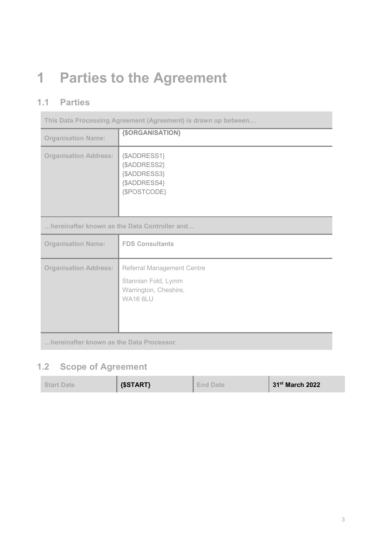# **1 Parties to the Agreement**

### **1.1 Parties**

| This Data Processing Agreement (Agreement) is drawn up between |                                                                                                      |
|----------------------------------------------------------------|------------------------------------------------------------------------------------------------------|
| <b>Organisation Name:</b>                                      | {\$ORGANISATION}                                                                                     |
| <b>Organisation Address:</b>                                   | {\$ADDRESS1}<br>{\$ADDRESS2}<br>{\$ADDRESS3}<br>{\$ADDRESS4}<br>{\$POSTCODE}                         |
| hereinafter known as the Data Controller and                   |                                                                                                      |
| <b>Organisation Name:</b>                                      | <b>FDS Consultants</b>                                                                               |
| <b>Organisation Address:</b>                                   | <b>Referral Management Centre</b><br>Stannian Fold, Lymm<br>Warrington, Cheshire,<br><b>WA16 6LU</b> |
| Isangtha Africa Inggrisma ang ting Data Dugana                 |                                                                                                      |

**…hereinafter known as the Data Processor.** 

### **1.2 Scope of Agreement**

| <b>Start Date</b> | $\{SSTART\}$ | <b>I</b> End Date | $\vert$ 31 <sup>st</sup> March 2022 |
|-------------------|--------------|-------------------|-------------------------------------|
|                   |              |                   |                                     |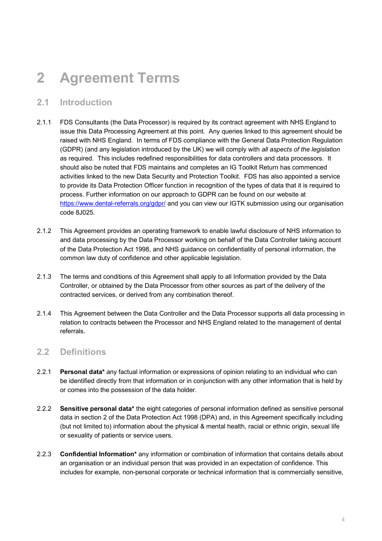## **2 Agreement!Terms**

#### **2.1 Introduction**

- 2.1.1 FDS Consultants (the Data Processor) is required by its contract agreement with NHS England to issue this Data Processing Agreement at this point. Any queries linked to this agreement should be raised with NHS England. In terms of FDS compliance with the General Data Protection Regulation (GDPR) (and any legislation introduced by the UK) we will comply with *all aspects of the legislation* as required. This includes redefined responsibilities for data controllers and data processors. It should also be noted that FDS maintains and completes an IG Toolkit Return has commenced activities linked to the new Data Security and Protection Toolkit. FDS has also appointed a service to provide its Data Protection Officer function in recognition of the types of data that it is required to process. Further information on our approach to GDPR can be found on our website at https://www.dental-referrals.org/gdpr/ and you can view our IGTK submission using our organisation code 8J025.
- 2.1.2 This Agreement provides an operating framework to enable lawful disclosure of NHS information to and data processing by the Data Processor working on behalf of the Data Controller taking account of the Data Protection Act 1998, and NHS guidance on confidentiality of personal information, the common law duty of confidence and other applicable legislation.
- 2.1.3 The terms and conditions of this Agreement shall apply to all Information provided by the Data Controller, or obtained by the Data Processor from other sources as part of the delivery of the contracted services, or derived from any combination thereof.
- 2.1.4 This Agreement between the Data Controller and the Data Processor supports all data processing in relation to contracts between the Processor and NHS England related to the management of dental referrals.

#### **2.2 Definitions**

- 2.2.1 **Personal data\*** any factual information or expressions of opinion relating to an individual who can be identified directly from that information or in conjunction with any other information that is held by or comes into the possession of the data holder.
- 2.2.2 **Sensitive personal data\*** the eight categories of personal information defined as sensitive personal data in section 2 of the Data Protection Act 1998 (DPA) and, in this Agreement specifically including (but not limited to) information about the physical & mental health, racial or ethnic origin, sexual life or sexuality of patients or service users.
- 2.2.3 **Confidential Information**\* any information or combination of information that contains details about an organisation or an individual person that was provided in an expectation of confidence. This includes for example, non-personal corporate or technical information that is commercially sensitive,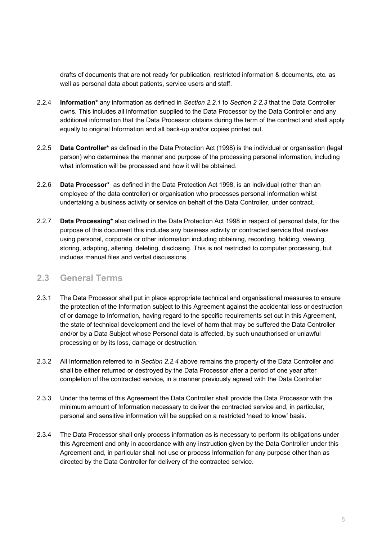drafts of documents that are not ready for publication, restricted information & documents, etc. as well as personal data about patients, service users and staff.

- 2.2.4 **Information**\* any information as defined in *Section 2.2.1* to *Section 2 2.3* that the Data Controller owns. This includes all information supplied to the Data Processor by the Data Controller and any additional information that the Data Processor obtains during the term of the contract and shall apply equally to original Information and all back-up and/or copies printed out.
- 2.2.5 **Data Controller**<sup>\*</sup> as defined in the Data Protection Act (1998) is the individual or organisation (legal person) who determines the manner and purpose of the processing personal information, including what information will be processed and how it will be obtained.
- 2.2.6 **Data Processor**\* as defined in the Data Protection Act 1998, is an individual (other than an employee of the data controller) or organisation who processes personal information whilst undertaking a business activity or service on behalf of the Data Controller, under contract.
- 2.2.7 **Data Processing**\* also defined in the Data Protection Act 1998 in respect of personal data, for the purpose of this document this includes any business activity or contracted service that involves using personal, corporate or other information including obtaining, recording, holding, viewing, storing, adapting, altering, deleting, disclosing. This is not restricted to computer processing, but includes manual files and verbal discussions.

#### **2.3 General!Terms**

- 2.3.1 The Data Processor shall put in place appropriate technical and organisational measures to ensure the protection of the Information subject to this Agreement against the accidental loss or destruction of or damage to Information, having regard to the specific requirements set out in this Agreement, the state of technical development and the level of harm that may be suffered the Data Controller and/or by a Data Subject whose Personal data is affected, by such unauthorised or unlawful processing or by its loss, damage or destruction.
- 2.3.2 All Information referred to in *Section 2.2.4* above remains the property of the Data Controller and shall be either returned or destroyed by the Data Processor after a period of one year after completion of the contracted service, in a manner previously agreed with the Data Controller
- 2.3.3 Under the terms of this Agreement the Data Controller shall provide the Data Processor with the minimum amount of Information necessary to deliver the contracted service and, in particular, personal and sensitive information will be supplied on a restricted 'need to know' basis.
- 2.3.4 The Data Processor shall only process information as is necessary to perform its obligations under this Agreement and only in accordance with any instruction given by the Data Controller under this Agreement and, in particular shall not use or process Information for any purpose other than as directed by the Data Controller for delivery of the contracted service.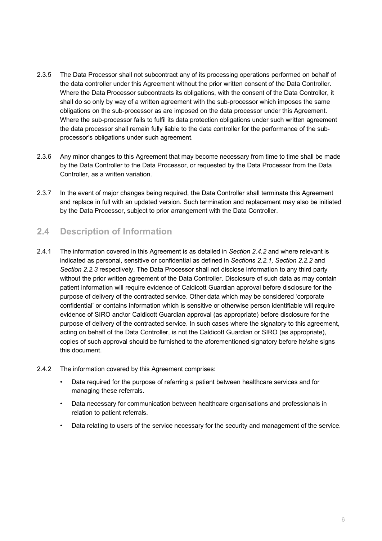- 2.3.5 The Data Processor shall not subcontract any of its processing operations performed on behalf of the data controller under this Agreement without the prior written consent of the Data Controller. Where the Data Processor subcontracts its obligations, with the consent of the Data Controller, it shall do so only by way of a written agreement with the sub-processor which imposes the same obligations on the sub-processor as are imposed on the data processor under this Agreement. Where the sub-processor fails to fulfil its data protection obligations under such written agreement the data processor shall remain fully liable to the data controller for the performance of the subprocessor's obligations under such agreement.
- 2.3.6 Any minor changes to this Agreement that may become necessary from time to time shall be made by the Data Controller to the Data Processor, or requested by the Data Processor from the Data Controller, as a written variation.
- 2.3.7 In the event of major changes being required, the Data Controller shall terminate this Agreement and replace in full with an updated version. Such termination and replacement may also be initiated by the Data Processor, subject to prior arrangement with the Data Controller.

#### **2.4 Description of Information**

- 2.4.1 The information covered in this Agreement is as detailed in *Section 2.4.2* and where relevant is indicated as personal, sensitive or confidential as defined in *Sections 2.2.1, Section 2.2.2* and *Section 2.2.3* respectively. The Data Processor shall not disclose information to any third party without the prior written agreement of the Data Controller. Disclosure of such data as may contain patient information will require evidence of Caldicott Guardian approval before disclosure for the purpose of delivery of the contracted service. Other data which may be considered 'corporate confidential' or contains information which is sensitive or otherwise person identifiable will require evidence of SIRO and\or Caldicott Guardian approval (as appropriate) before disclosure for the purpose of delivery of the contracted service. In such cases where the signatory to this agreement, acting on behalf of the Data Controller, is not the Caldicott Guardian or SIRO (as appropriate), copies of such approval should be furnished to the aforementioned signatory before he\she signs this document.
- 2.4.2 The information covered by this Agreement comprises:
	- Data required for the purpose of referring a patient between healthcare services and for managing these referrals.
	- Data necessary for communication between healthcare organisations and professionals in relation to patient referrals.
	- Data relating to users of the service necessary for the security and management of the service.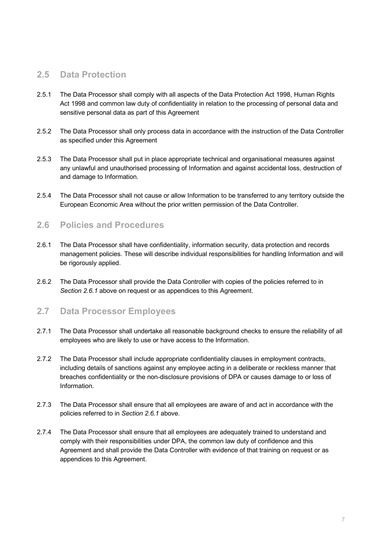#### **2.5 Data!Protection**

- 2.5.1 The Data Processor shall comply with all aspects of the Data Protection Act 1998, Human Rights Act 1998 and common law duty of confidentiality in relation to the processing of personal data and sensitive personal data as part of this Agreement
- 2.5.2 The Data Processor shall only process data in accordance with the instruction of the Data Controller as specified under this Agreement
- 2.5.3 The Data Processor shall put in place appropriate technical and organisational measures against any unlawful and unauthorised processing of Information and against accidental loss, destruction of and damage to Information.
- 2.5.4 The Data Processor shall not cause or allow Information to be transferred to any territory outside the European Economic Area without the prior written permission of the Data Controller.

#### **2.6 Policies and Procedures**

- 2.6.1 The Data Processor shall have confidentiality, information security, data protection and records management policies. These will describe individual responsibilities for handling Information and will be rigorously applied.
- 2.6.2 The Data Processor shall provide the Data Controller with copies of the policies referred to in *Section 2.6.1* above on request or as appendices to this Agreement.

#### **2.7 Data Processor Employees**

- 2.7.1 The Data Processor shall undertake all reasonable background checks to ensure the reliability of all employees who are likely to use or have access to the Information.
- 2.7.2 The Data Processor shall include appropriate confidentiality clauses in employment contracts, including details of sanctions against any employee acting in a deliberate or reckless manner that breaches confidentiality or the non-disclosure provisions of DPA or causes damage to or loss of Information.
- 2.7.3 The Data Processor shall ensure that all employees are aware of and act in accordance with the policies referred to in *Section 2.6.1* above.
- 2.7.4 The Data Processor shall ensure that all employees are adequately trained to understand and comply with their responsibilities under DPA, the common law duty of confidence and this Agreement and shall provide the Data Controller with evidence of that training on request or as appendices to this Agreement.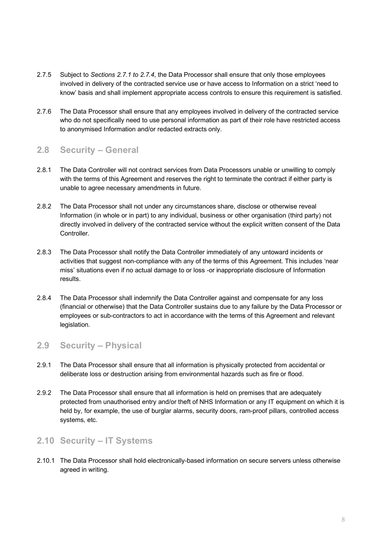- 2.7.5 Subject to *Sections 2.7.1 to 2.7.4*, the Data Processor shall ensure that only those employees involved in delivery of the contracted service use or have access to Information on a strict 'need to know' basis and shall implement appropriate access controls to ensure this requirement is satisfied.
- 2.7.6 The Data Processor shall ensure that any employees involved in delivery of the contracted service who do not specifically need to use personal information as part of their role have restricted access to anonymised Information and/or redacted extracts only.

#### **2.8 Security!– General**

- 2.8.1 The Data Controller will not contract services from Data Processors unable or unwilling to comply with the terms of this Agreement and reserves the right to terminate the contract if either party is unable to agree necessary amendments in future.
- 2.8.2 The Data Processor shall not under any circumstances share, disclose or otherwise reveal Information (in whole or in part) to any individual, business or other organisation (third party) not directly involved in delivery of the contracted service without the explicit written consent of the Data Controller.
- 2.8.3 The Data Processor shall notify the Data Controller immediately of any untoward incidents or activities that suggest non-compliance with any of the terms of this Agreement. This includes 'near miss' situations even if no actual damage to or loss -or inappropriate disclosure of Information results.
- 2.8.4 The Data Processor shall indemnify the Data Controller against and compensate for any loss (financial or otherwise) that the Data Controller sustains due to any failure by the Data Processor or employees or sub-contractors to act in accordance with the terms of this Agreement and relevant legislation.

#### **2.9 Security!– Physical**

- 2.9.1 The Data Processor shall ensure that all information is physically protected from accidental or deliberate loss or destruction arising from environmental hazards such as fire or flood.
- 2.9.2 The Data Processor shall ensure that all information is held on premises that are adequately protected from unauthorised entry and/or theft of NHS Information or any IT equipment on which it is held by, for example, the use of burglar alarms, security doors, ram-proof pillars, controlled access systems, etc.

#### **2.10 Security!– IT!Systems**

2.10.1 The Data Processor shall hold electronically-based information on secure servers unless otherwise agreed in writing.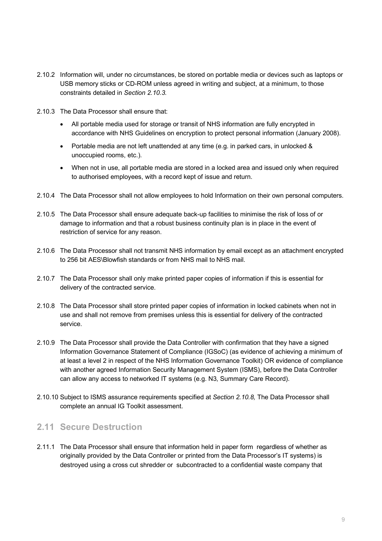- 2.10.2 Information will, under no circumstances, be stored on portable media or devices such as laptops or USB memory sticks or CD-ROM unless agreed in writing and subject, at a minimum, to those constraints detailed in *Section 2.10.3*.
- 2.10.3 The Data Processor shall ensure that:
	- All portable media used for storage or transit of NHS information are fully encrypted in accordance with NHS Guidelines on encryption to protect personal information (January 2008).
	- Portable media are not left unattended at any time (e.g. in parked cars, in unlocked  $&$ unoccupied rooms, etc.).
	- When not in use, all portable media are stored in a locked area and issued only when required to authorised employees, with a record kept of issue and return.
- 2.10.4 The Data Processor shall not allow employees to hold Information on their own personal computers.
- 2.10.5 The Data Processor shall ensure adequate back-up facilities to minimise the risk of loss of or damage to information and that a robust business continuity plan is in place in the event of restriction of service for any reason.
- 2.10.6 The Data Processor shall not transmit NHS information by email except as an attachment encrypted to 256 bit AES\Blowfish standards or from NHS mail to NHS mail.
- 2.10.7 The Data Processor shall only make printed paper copies of information if this is essential for delivery of the contracted service.
- 2.10.8 The Data Processor shall store printed paper copies of information in locked cabinets when not in use and shall not remove from premises unless this is essential for delivery of the contracted service.
- 2.10.9 The Data Processor shall provide the Data Controller with confirmation that they have a signed Information Governance Statement of Compliance (IGSoC) (as evidence of achieving a minimum of at least a level 2 in respect of the NHS Information Governance Toolkit) OR evidence of compliance with another agreed Information Security Management System (ISMS), before the Data Controller can allow any access to networked IT systems (e.g. N3, Summary Care Record).
- 2.10.10 Subject to ISMS assurance requirements specified at *Section 2.10.8*, The Data Processor shall complete an annual IG Toolkit assessment.

#### **2.11 Secure Destruction**

2.11.1 The Data Processor shall ensure that information held in paper form regardless of whether as originally provided by the Data Controller or printed from the Data Processor's IT systems) is destroyed using a cross cut shredder or subcontracted to a confidential waste company that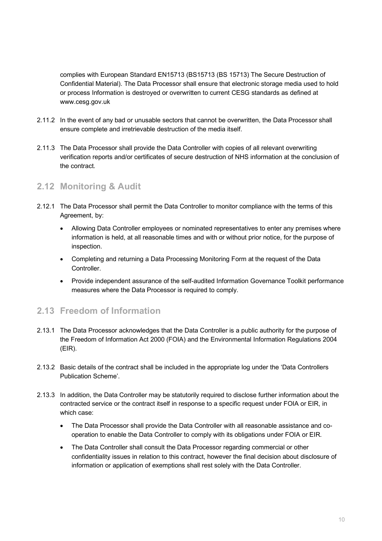complies with European Standard EN15713 (BS15713 (BS 15713) The Secure Destruction of Confidential Material). The Data Processor shall ensure that electronic storage media used to hold or process Information is destroyed or overwritten to current CESG standards as defined at www.cesg.gov.uk

- 2.11.2 In the event of any bad or unusable sectors that cannot be overwritten, the Data Processor shall ensure complete and irretrievable destruction of the media itself.
- 2.11.3 The Data Processor shall provide the Data Controller with copies of all relevant overwriting verification reports and/or certificates of secure destruction of NHS information at the conclusion of the contract.

#### **2.12 Monitoring!&!Audit**

- 2.12.1 The Data Processor shall permit the Data Controller to monitor compliance with the terms of this Agreement, by:
	- Allowing Data Controller employees or nominated representatives to enter any premises where information is held, at all reasonable times and with or without prior notice, for the purpose of inspection.
	- Completing and returning a Data Processing Monitoring Form at the request of the Data Controller.
	- Provide independent assurance of the self-audited Information Governance Toolkit performance measures where the Data Processor is required to comply.

#### **2.13 Freedom of Information**

- 2.13.1 The Data Processor acknowledges that the Data Controller is a public authority for the purpose of the Freedom of Information Act 2000 (FOIA) and the Environmental Information Regulations 2004 (EIR).
- 2.13.2 Basic details of the contract shall be included in the appropriate log under the 'Data Controllers' Publication Scheme'.
- 2.13.3 In addition, the Data Controller may be statutorily required to disclose further information about the contracted service or the contract itself in response to a specific request under FOIA or EIR, in which case:
	- The Data Processor shall provide the Data Controller with all reasonable assistance and cooperation to enable the Data Controller to comply with its obligations under FOIA or EIR.
	- The Data Controller shall consult the Data Processor regarding commercial or other confidentiality issues in relation to this contract, however the final decision about disclosure of information or application of exemptions shall rest solely with the Data Controller.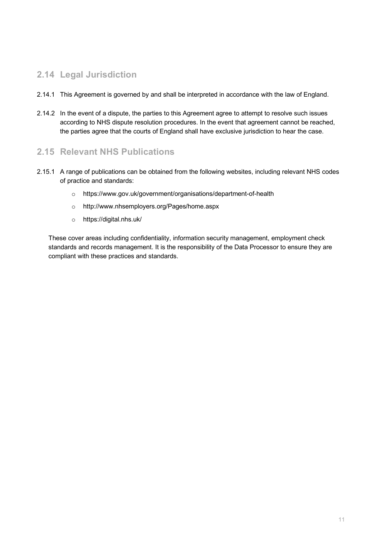#### **2.14 Legal!Jurisdiction**

- 2.14.1 This Agreement is governed by and shall be interpreted in accordance with the law of England.
- 2.14.2 In the event of a dispute, the parties to this Agreement agree to attempt to resolve such issues according to NHS dispute resolution procedures. In the event that agreement cannot be reached, the parties agree that the courts of England shall have exclusive jurisdiction to hear the case.

#### **2.15 Relevant NHS Publications**

- 2.15.1 A range of publications can be obtained from the following websites, including relevant NHS codes of practice and standards:
	- $\circ$  https://www.gov.uk/government/organisations/department-of-health
	- o http://www.nhsemployers.org/Pages/home.aspx
	- o https://digital.nhs.uk/!!

These cover areas including confidentiality, information security management, employment check standards and records management. It is the responsibility of the Data Processor to ensure they are compliant with these practices and standards.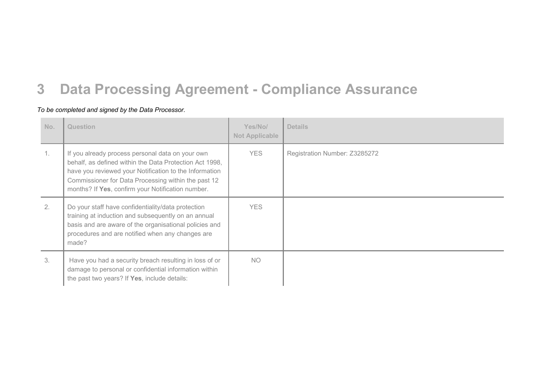### **3** Data Processing Agreement - Compliance Assurance

#### To be completed and signed by the Data Processor.

| No. | Question                                                                                                                                                                                                                                                                          | Yes/No/<br><b>Not Applicable</b> | <b>Details</b>                |
|-----|-----------------------------------------------------------------------------------------------------------------------------------------------------------------------------------------------------------------------------------------------------------------------------------|----------------------------------|-------------------------------|
|     | If you already process personal data on your own<br>behalf, as defined within the Data Protection Act 1998,<br>have you reviewed your Notification to the Information<br>Commissioner for Data Processing within the past 12<br>months? If Yes, confirm your Notification number. | <b>YES</b>                       | Registration Number: Z3285272 |
| 2.  | Do your staff have confidentiality/data protection<br>training at induction and subsequently on an annual<br>basis and are aware of the organisational policies and<br>procedures and are notified when any changes are<br>made?                                                  | <b>YES</b>                       |                               |
| 3.  | Have you had a security breach resulting in loss of or<br>damage to personal or confidential information within<br>the past two years? If Yes, include details:                                                                                                                   | NO.                              |                               |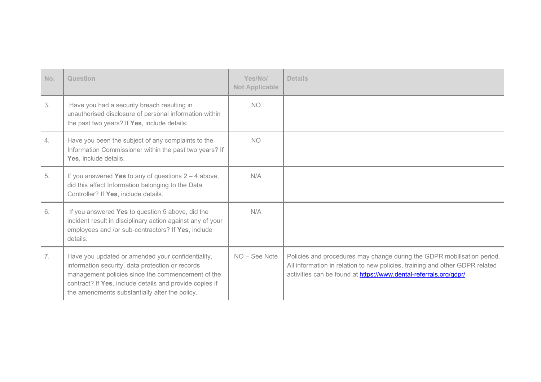| No. | Question                                                                                                                                                                                                                                                                | Yes/No/<br><b>Not Applicable</b> | <b>Details</b>                                                                                                                                                                                                               |
|-----|-------------------------------------------------------------------------------------------------------------------------------------------------------------------------------------------------------------------------------------------------------------------------|----------------------------------|------------------------------------------------------------------------------------------------------------------------------------------------------------------------------------------------------------------------------|
| 3.  | Have you had a security breach resulting in<br>unauthorised disclosure of personal information within<br>the past two years? If Yes, include details:                                                                                                                   | <b>NO</b>                        |                                                                                                                                                                                                                              |
| 4.  | Have you been the subject of any complaints to the<br>Information Commissioner within the past two years? If<br>Yes, include details.                                                                                                                                   | <b>NO</b>                        |                                                                                                                                                                                                                              |
| 5.  | If you answered Yes to any of questions $2 - 4$ above,<br>did this affect Information belonging to the Data<br>Controller? If Yes, include details.                                                                                                                     | N/A                              |                                                                                                                                                                                                                              |
| 6.  | If you answered Yes to question 5 above, did the<br>incident result in disciplinary action against any of your<br>employees and /or sub-contractors? If Yes, include<br>details.                                                                                        | N/A                              |                                                                                                                                                                                                                              |
| 7.  | Have you updated or amended your confidentiality,<br>information security, data protection or records<br>management policies since the commencement of the<br>contract? If Yes, include details and provide copies if<br>the amendments substantially alter the policy. | NO - See Note                    | Policies and procedures may change during the GDPR mobilisation period.<br>All information in relation to new policies, training and other GDPR related<br>activities can be found at https://www.dental-referrals.org/gdpr/ |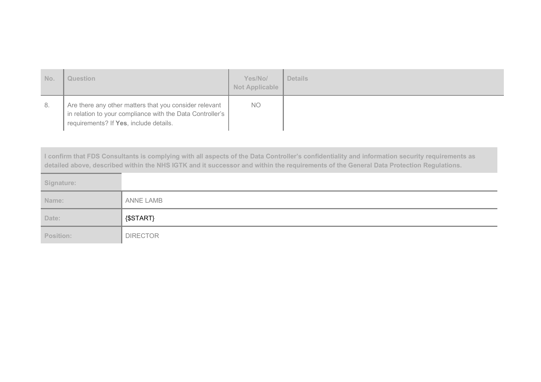| No. | Question                                                                                                                                                      | Yes/No/<br><b>Not Applicable</b> | <b>Details</b> |
|-----|---------------------------------------------------------------------------------------------------------------------------------------------------------------|----------------------------------|----------------|
| -8. | Are there any other matters that you consider relevant<br>in relation to your compliance with the Data Controller's<br>requirements? If Yes, include details. | <b>NO</b>                        |                |

I confirm that FDS Consultants is complying with all aspects of the Data Controller's confidentiality and information security requirements as detailed above, described within the NHS IGTK and it successor and within the requirements of the General Data Protection Regulations.

| Signature: |                  |
|------------|------------------|
| Name:      | <b>ANNE LAMB</b> |
|            |                  |
| Date:      | {\$START}        |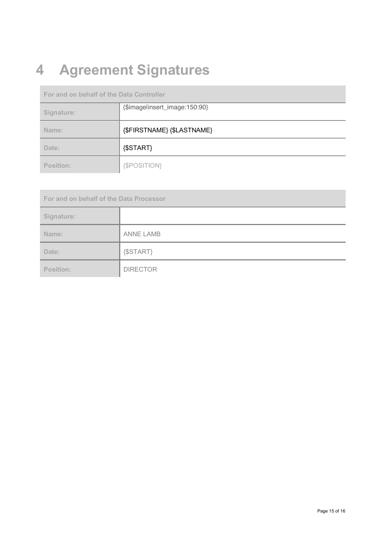# **4 Agreement Signatures**

**For and on behalf of the Data Controller** 

| Signature: | {\$imagelinsert_image:150:90} |
|------------|-------------------------------|
| Name:      | {\$FIRSTNAME} {\$LASTNAME}    |
| Date:      | ${SSTART}$                    |
| Position:  | {\$POSITION}                  |

**For and on behalf of the Data Processor Signature:** Name: ANNE LAMB Date:  $\left| \right|$  {\$START} Position: **DIRECTOR**